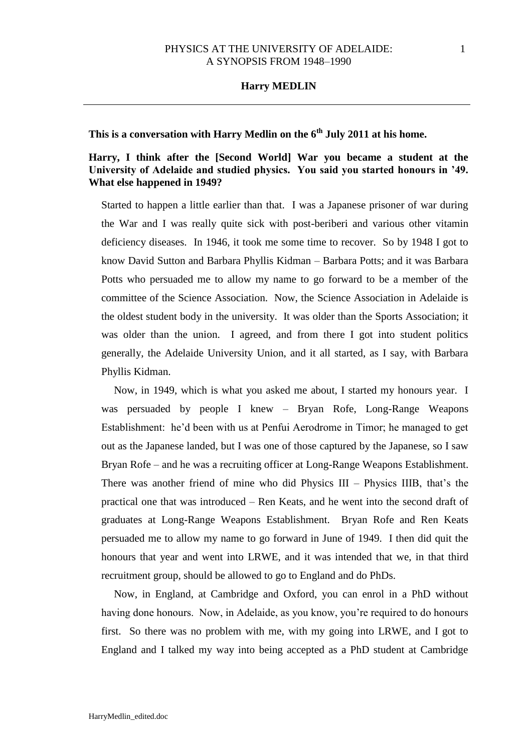# **This is a conversation with Harry Medlin on the 6th July 2011 at his home.**

# **Harry, I think after the [Second World] War you became a student at the University of Adelaide and studied physics. You said you started honours in '49. What else happened in 1949?**

Started to happen a little earlier than that. I was a Japanese prisoner of war during the War and I was really quite sick with post-beriberi and various other vitamin deficiency diseases. In 1946, it took me some time to recover. So by 1948 I got to know David Sutton and Barbara Phyllis Kidman – Barbara Potts; and it was Barbara Potts who persuaded me to allow my name to go forward to be a member of the committee of the Science Association. Now, the Science Association in Adelaide is the oldest student body in the university. It was older than the Sports Association; it was older than the union. I agreed, and from there I got into student politics generally, the Adelaide University Union, and it all started, as I say, with Barbara Phyllis Kidman.

Now, in 1949, which is what you asked me about, I started my honours year. I was persuaded by people I knew – Bryan Rofe, Long-Range Weapons Establishment: he'd been with us at Penfui Aerodrome in Timor; he managed to get out as the Japanese landed, but I was one of those captured by the Japanese, so I saw Bryan Rofe – and he was a recruiting officer at Long-Range Weapons Establishment. There was another friend of mine who did Physics III – Physics IIIB, that's the practical one that was introduced – Ren Keats, and he went into the second draft of graduates at Long-Range Weapons Establishment. Bryan Rofe and Ren Keats persuaded me to allow my name to go forward in June of 1949. I then did quit the honours that year and went into LRWE, and it was intended that we, in that third recruitment group, should be allowed to go to England and do PhDs.

Now, in England, at Cambridge and Oxford, you can enrol in a PhD without having done honours. Now, in Adelaide, as you know, you're required to do honours first. So there was no problem with me, with my going into LRWE, and I got to England and I talked my way into being accepted as a PhD student at Cambridge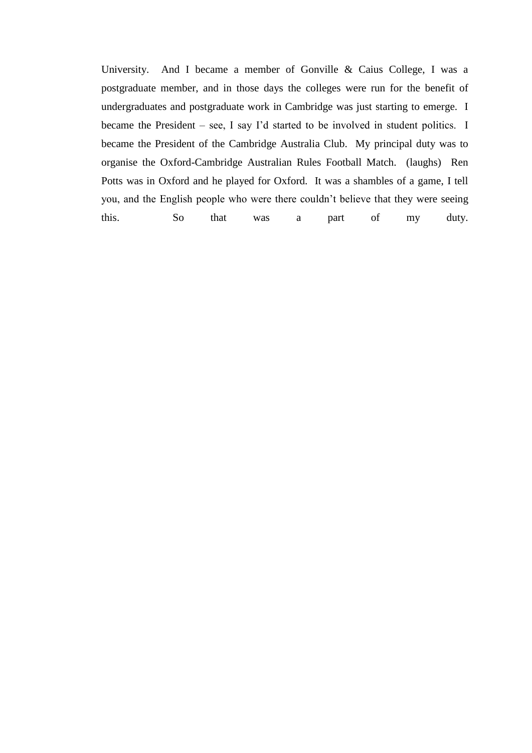University. And I became a member of Gonville & Caius College, I was a postgraduate member, and in those days the colleges were run for the benefit of undergraduates and postgraduate work in Cambridge was just starting to emerge. I became the President – see, I say I'd started to be involved in student politics. I became the President of the Cambridge Australia Club. My principal duty was to organise the Oxford-Cambridge Australian Rules Football Match. (laughs) Ren Potts was in Oxford and he played for Oxford. It was a shambles of a game, I tell you, and the English people who were there couldn't believe that they were seeing this. So that was a part of my duty.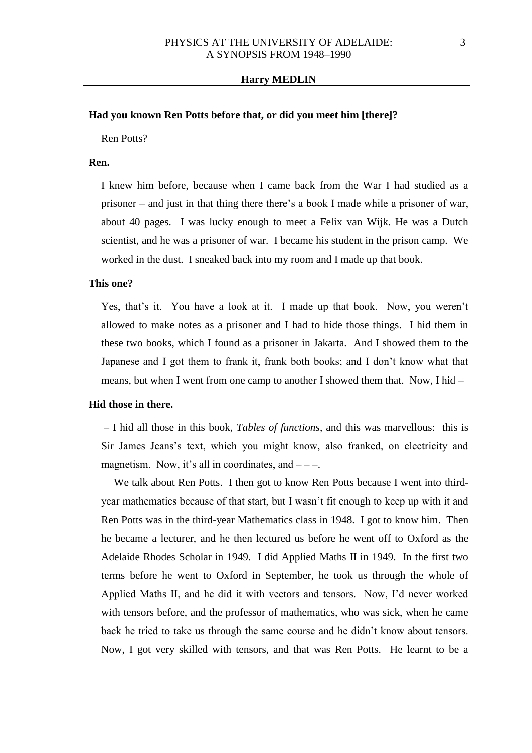## **Had you known Ren Potts before that, or did you meet him [there]?**

Ren Potts?

## **Ren.**

I knew him before, because when I came back from the War I had studied as a prisoner – and just in that thing there there's a book I made while a prisoner of war, about 40 pages. I was lucky enough to meet a Felix van Wijk. He was a Dutch scientist, and he was a prisoner of war. I became his student in the prison camp. We worked in the dust. I sneaked back into my room and I made up that book.

#### **This one?**

Yes, that's it. You have a look at it. I made up that book. Now, you weren't allowed to make notes as a prisoner and I had to hide those things. I hid them in these two books, which I found as a prisoner in Jakarta. And I showed them to the Japanese and I got them to frank it, frank both books; and I don't know what that means, but when I went from one camp to another I showed them that. Now, I hid –

### **Hid those in there.**

– I hid all those in this book, *Tables of functions*, and this was marvellous: this is Sir James Jeans's text, which you might know, also franked, on electricity and magnetism. Now, it's all in coordinates, and  $---$ .

We talk about Ren Potts. I then got to know Ren Potts because I went into thirdyear mathematics because of that start, but I wasn't fit enough to keep up with it and Ren Potts was in the third-year Mathematics class in 1948. I got to know him. Then he became a lecturer, and he then lectured us before he went off to Oxford as the Adelaide Rhodes Scholar in 1949. I did Applied Maths II in 1949. In the first two terms before he went to Oxford in September, he took us through the whole of Applied Maths II, and he did it with vectors and tensors. Now, I'd never worked with tensors before, and the professor of mathematics, who was sick, when he came back he tried to take us through the same course and he didn't know about tensors. Now, I got very skilled with tensors, and that was Ren Potts. He learnt to be a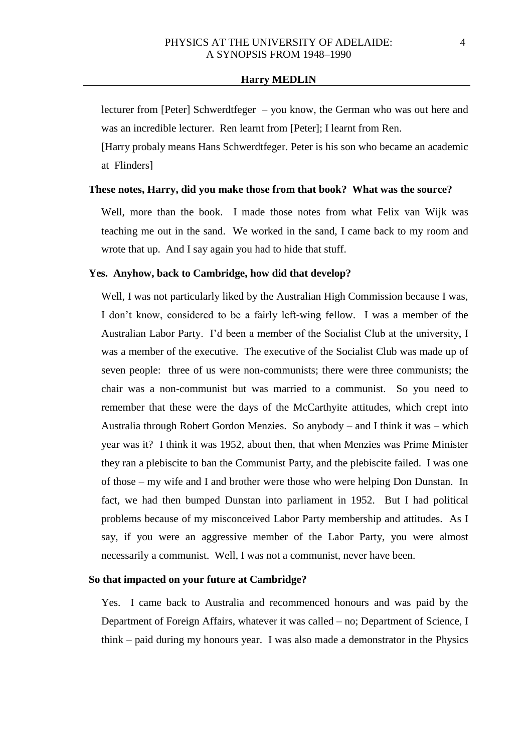lecturer from [Peter] Schwerdtfeger – you know, the German who was out here and was an incredible lecturer. Ren learnt from [Peter]; I learnt from Ren.

[Harry probaly means Hans Schwerdtfeger. Peter is his son who became an academic at Flinders]

#### **These notes, Harry, did you make those from that book? What was the source?**

Well, more than the book. I made those notes from what Felix van Wijk was teaching me out in the sand. We worked in the sand, I came back to my room and wrote that up. And I say again you had to hide that stuff.

### **Yes. Anyhow, back to Cambridge, how did that develop?**

Well, I was not particularly liked by the Australian High Commission because I was, I don't know, considered to be a fairly left-wing fellow. I was a member of the Australian Labor Party. I'd been a member of the Socialist Club at the university, I was a member of the executive. The executive of the Socialist Club was made up of seven people: three of us were non-communists; there were three communists; the chair was a non-communist but was married to a communist. So you need to remember that these were the days of the McCarthyite attitudes, which crept into Australia through Robert Gordon Menzies. So anybody – and I think it was – which year was it? I think it was 1952, about then, that when Menzies was Prime Minister they ran a plebiscite to ban the Communist Party, and the plebiscite failed. I was one of those – my wife and I and brother were those who were helping Don Dunstan. In fact, we had then bumped Dunstan into parliament in 1952. But I had political problems because of my misconceived Labor Party membership and attitudes. As I say, if you were an aggressive member of the Labor Party, you were almost necessarily a communist. Well, I was not a communist, never have been.

#### **So that impacted on your future at Cambridge?**

Yes. I came back to Australia and recommenced honours and was paid by the Department of Foreign Affairs, whatever it was called – no; Department of Science, I think – paid during my honours year. I was also made a demonstrator in the Physics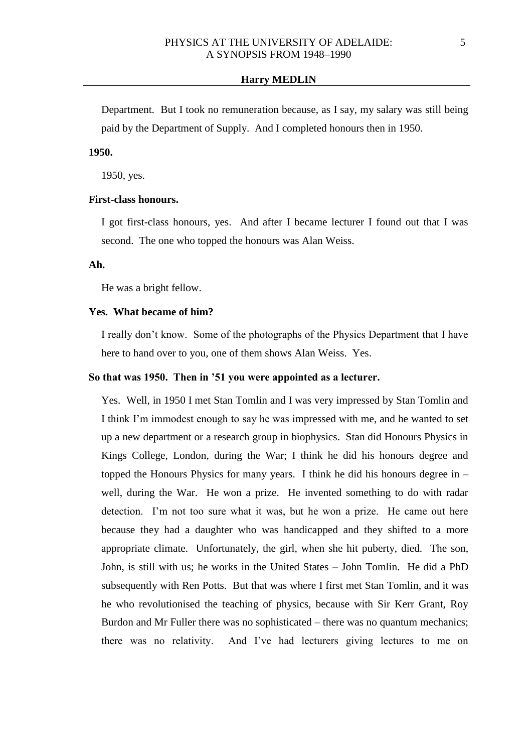Department. But I took no remuneration because, as I say, my salary was still being paid by the Department of Supply. And I completed honours then in 1950.

# **1950.**

1950, yes.

## **First-class honours.**

I got first-class honours, yes. And after I became lecturer I found out that I was second. The one who topped the honours was Alan Weiss.

## **Ah.**

He was a bright fellow.

## **Yes. What became of him?**

I really don't know. Some of the photographs of the Physics Department that I have here to hand over to you, one of them shows Alan Weiss. Yes.

#### **So that was 1950. Then in '51 you were appointed as a lecturer.**

Yes. Well, in 1950 I met Stan Tomlin and I was very impressed by Stan Tomlin and I think I'm immodest enough to say he was impressed with me, and he wanted to set up a new department or a research group in biophysics. Stan did Honours Physics in Kings College, London, during the War; I think he did his honours degree and topped the Honours Physics for many years. I think he did his honours degree in – well, during the War. He won a prize. He invented something to do with radar detection. I'm not too sure what it was, but he won a prize. He came out here because they had a daughter who was handicapped and they shifted to a more appropriate climate. Unfortunately, the girl, when she hit puberty, died. The son, John, is still with us; he works in the United States – John Tomlin. He did a PhD subsequently with Ren Potts. But that was where I first met Stan Tomlin, and it was he who revolutionised the teaching of physics, because with Sir Kerr Grant, Roy Burdon and Mr Fuller there was no sophisticated – there was no quantum mechanics; there was no relativity. And I've had lecturers giving lectures to me on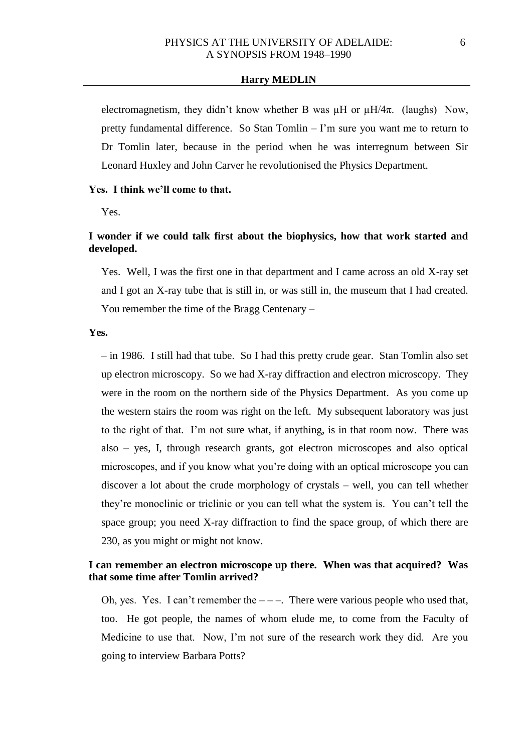electromagnetism, they didn't know whether B was  $\mu$ H or  $\mu$ H/4 $\pi$ . (laughs) Now, pretty fundamental difference. So Stan Tomlin – I'm sure you want me to return to Dr Tomlin later, because in the period when he was interregnum between Sir Leonard Huxley and John Carver he revolutionised the Physics Department.

#### **Yes. I think we'll come to that.**

Yes.

# **I wonder if we could talk first about the biophysics, how that work started and developed.**

Yes. Well, I was the first one in that department and I came across an old X-ray set and I got an X-ray tube that is still in, or was still in, the museum that I had created. You remember the time of the Bragg Centenary –

## **Yes.**

– in 1986. I still had that tube. So I had this pretty crude gear. Stan Tomlin also set up electron microscopy. So we had X-ray diffraction and electron microscopy. They were in the room on the northern side of the Physics Department. As you come up the western stairs the room was right on the left. My subsequent laboratory was just to the right of that. I'm not sure what, if anything, is in that room now. There was also – yes, I, through research grants, got electron microscopes and also optical microscopes, and if you know what you're doing with an optical microscope you can discover a lot about the crude morphology of crystals – well, you can tell whether they're monoclinic or triclinic or you can tell what the system is. You can't tell the space group; you need X-ray diffraction to find the space group, of which there are 230, as you might or might not know.

# **I can remember an electron microscope up there. When was that acquired? Was that some time after Tomlin arrived?**

Oh, yes. Yes. I can't remember the  $---$ . There were various people who used that, too. He got people, the names of whom elude me, to come from the Faculty of Medicine to use that. Now, I'm not sure of the research work they did. Are you going to interview Barbara Potts?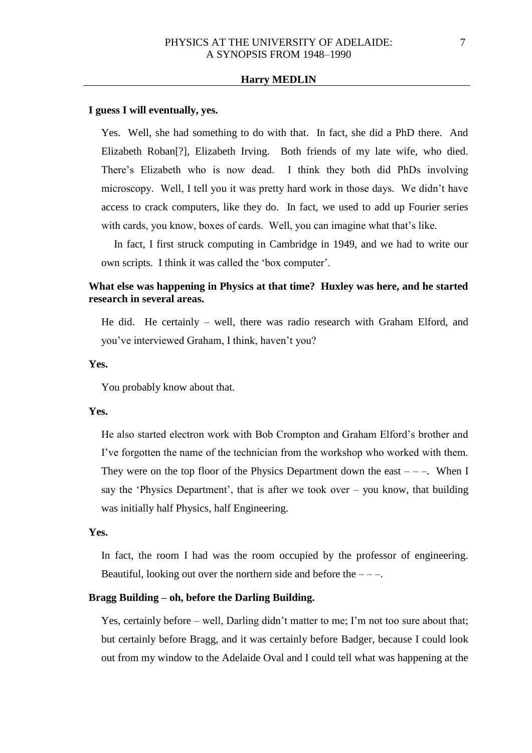### **I guess I will eventually, yes.**

Yes. Well, she had something to do with that. In fact, she did a PhD there. And Elizabeth Roban[?], Elizabeth Irving. Both friends of my late wife, who died. There's Elizabeth who is now dead. I think they both did PhDs involving microscopy. Well, I tell you it was pretty hard work in those days. We didn't have access to crack computers, like they do. In fact, we used to add up Fourier series with cards, you know, boxes of cards. Well, you can imagine what that's like.

In fact, I first struck computing in Cambridge in 1949, and we had to write our own scripts. I think it was called the 'box computer'.

# **What else was happening in Physics at that time? Huxley was here, and he started research in several areas.**

He did. He certainly – well, there was radio research with Graham Elford, and you've interviewed Graham, I think, haven't you?

## **Yes.**

You probably know about that.

#### **Yes.**

He also started electron work with Bob Crompton and Graham Elford's brother and I've forgotten the name of the technician from the workshop who worked with them. They were on the top floor of the Physics Department down the east  $---$ . When I say the 'Physics Department', that is after we took over  $-$  you know, that building was initially half Physics, half Engineering.

## **Yes.**

In fact, the room I had was the room occupied by the professor of engineering. Beautiful, looking out over the northern side and before the  $---$ .

## **Bragg Building – oh, before the Darling Building.**

Yes, certainly before – well, Darling didn't matter to me; I'm not too sure about that; but certainly before Bragg, and it was certainly before Badger, because I could look out from my window to the Adelaide Oval and I could tell what was happening at the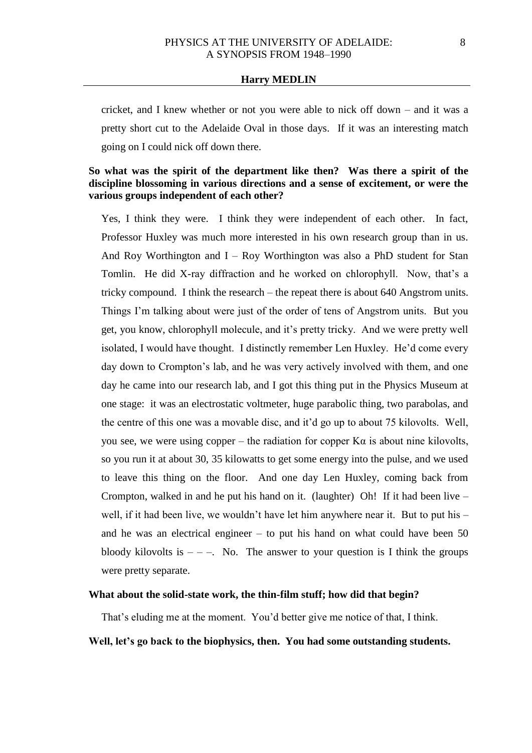cricket, and I knew whether or not you were able to nick off down – and it was a pretty short cut to the Adelaide Oval in those days. If it was an interesting match going on I could nick off down there.

# **So what was the spirit of the department like then? Was there a spirit of the discipline blossoming in various directions and a sense of excitement, or were the various groups independent of each other?**

Yes, I think they were. I think they were independent of each other. In fact, Professor Huxley was much more interested in his own research group than in us. And Roy Worthington and  $I - Roy$  Worthington was also a PhD student for Stan Tomlin. He did X-ray diffraction and he worked on chlorophyll. Now, that's a tricky compound. I think the research – the repeat there is about 640 Angstrom units. Things I'm talking about were just of the order of tens of Angstrom units. But you get, you know, chlorophyll molecule, and it's pretty tricky. And we were pretty well isolated, I would have thought. I distinctly remember Len Huxley. He'd come every day down to Crompton's lab, and he was very actively involved with them, and one day he came into our research lab, and I got this thing put in the Physics Museum at one stage: it was an electrostatic voltmeter, huge parabolic thing, two parabolas, and the centre of this one was a movable disc, and it'd go up to about 75 kilovolts. Well, you see, we were using copper – the radiation for copper  $K\alpha$  is about nine kilovolts, so you run it at about 30, 35 kilowatts to get some energy into the pulse, and we used to leave this thing on the floor. And one day Len Huxley, coming back from Crompton, walked in and he put his hand on it. (laughter) Oh! If it had been live – well, if it had been live, we wouldn't have let him anywhere near it. But to put his – and he was an electrical engineer – to put his hand on what could have been 50 bloody kilovolts is  $-$  –  $-$ . No. The answer to your question is I think the groups were pretty separate.

## **What about the solid-state work, the thin-film stuff; how did that begin?**

That's eluding me at the moment. You'd better give me notice of that, I think.

# **Well, let's go back to the biophysics, then. You had some outstanding students.**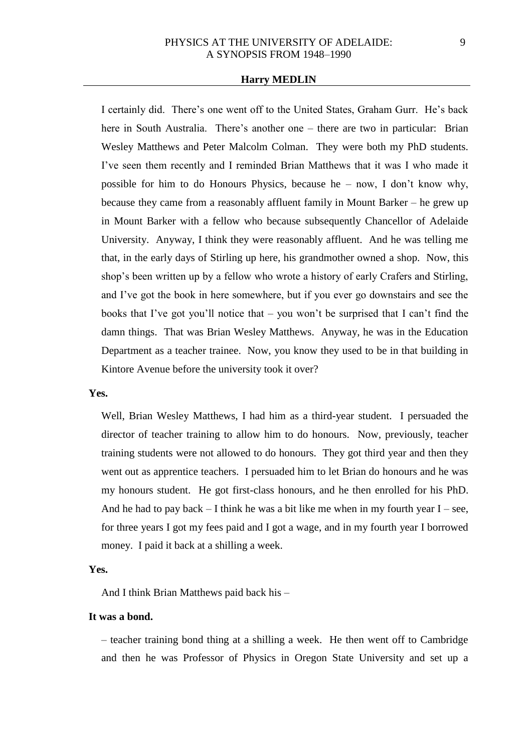I certainly did. There's one went off to the United States, Graham Gurr. He's back here in South Australia. There's another one – there are two in particular: Brian Wesley Matthews and Peter Malcolm Colman. They were both my PhD students. I've seen them recently and I reminded Brian Matthews that it was I who made it possible for him to do Honours Physics, because he – now, I don't know why, because they came from a reasonably affluent family in Mount Barker – he grew up in Mount Barker with a fellow who because subsequently Chancellor of Adelaide University. Anyway, I think they were reasonably affluent. And he was telling me that, in the early days of Stirling up here, his grandmother owned a shop. Now, this shop's been written up by a fellow who wrote a history of early Crafers and Stirling, and I've got the book in here somewhere, but if you ever go downstairs and see the books that I've got you'll notice that – you won't be surprised that I can't find the damn things. That was Brian Wesley Matthews. Anyway, he was in the Education Department as a teacher trainee. Now, you know they used to be in that building in Kintore Avenue before the university took it over?

### **Yes.**

Well, Brian Wesley Matthews, I had him as a third-year student. I persuaded the director of teacher training to allow him to do honours. Now, previously, teacher training students were not allowed to do honours. They got third year and then they went out as apprentice teachers. I persuaded him to let Brian do honours and he was my honours student. He got first-class honours, and he then enrolled for his PhD. And he had to pay back  $-1$  think he was a bit like me when in my fourth year  $I -$  see, for three years I got my fees paid and I got a wage, and in my fourth year I borrowed money. I paid it back at a shilling a week.

#### **Yes.**

And I think Brian Matthews paid back his –

## **It was a bond.**

– teacher training bond thing at a shilling a week. He then went off to Cambridge and then he was Professor of Physics in Oregon State University and set up a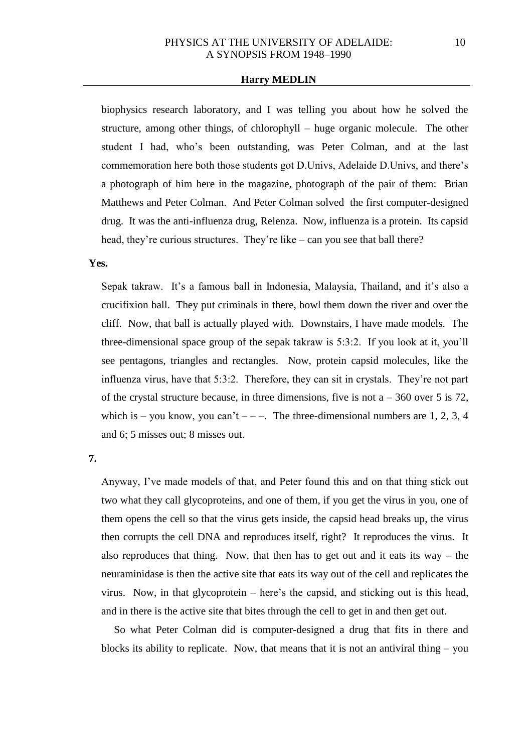biophysics research laboratory, and I was telling you about how he solved the structure, among other things, of chlorophyll – huge organic molecule. The other student I had, who's been outstanding, was Peter Colman, and at the last commemoration here both those students got D.Univs, Adelaide D.Univs, and there's a photograph of him here in the magazine, photograph of the pair of them: Brian Matthews and Peter Colman. And Peter Colman solved the first computer-designed drug. It was the anti-influenza drug, Relenza. Now, influenza is a protein. Its capsid head, they're curious structures. They're like – can you see that ball there?

### **Yes.**

Sepak takraw. It's a famous ball in Indonesia, Malaysia, Thailand, and it's also a crucifixion ball. They put criminals in there, bowl them down the river and over the cliff. Now, that ball is actually played with. Downstairs, I have made models. The three-dimensional space group of the sepak takraw is 5:3:2. If you look at it, you'll see pentagons, triangles and rectangles. Now, protein capsid molecules, like the influenza virus, have that 5:3:2. Therefore, they can sit in crystals. They're not part of the crystal structure because, in three dimensions, five is not  $a - 360$  over 5 is 72, which is – you know, you can't – – –. The three-dimensional numbers are 1, 2, 3, 4 and 6; 5 misses out; 8 misses out.

## **7.**

Anyway, I've made models of that, and Peter found this and on that thing stick out two what they call glycoproteins, and one of them, if you get the virus in you, one of them opens the cell so that the virus gets inside, the capsid head breaks up, the virus then corrupts the cell DNA and reproduces itself, right? It reproduces the virus. It also reproduces that thing. Now, that then has to get out and it eats its way  $-$  the neuraminidase is then the active site that eats its way out of the cell and replicates the virus. Now, in that glycoprotein – here's the capsid, and sticking out is this head, and in there is the active site that bites through the cell to get in and then get out.

So what Peter Colman did is computer-designed a drug that fits in there and blocks its ability to replicate. Now, that means that it is not an antiviral thing  $-$  you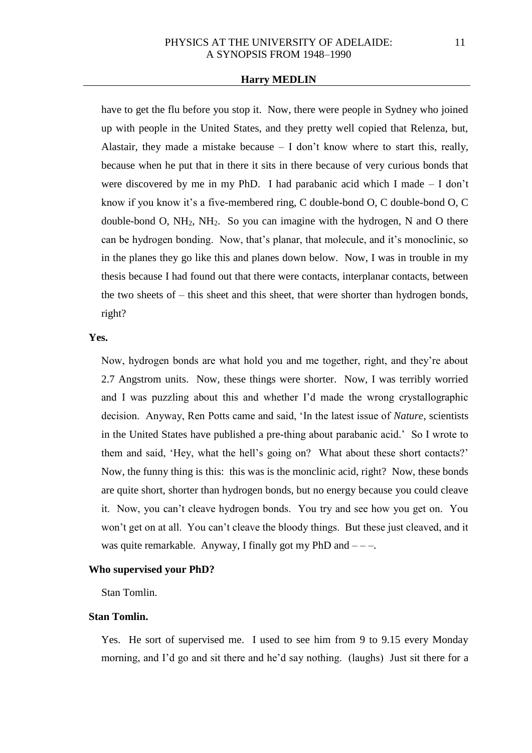have to get the flu before you stop it. Now, there were people in Sydney who joined up with people in the United States, and they pretty well copied that Relenza, but, Alastair, they made a mistake because  $- I$  don't know where to start this, really, because when he put that in there it sits in there because of very curious bonds that were discovered by me in my PhD. I had parabanic acid which I made – I don't know if you know it's a five-membered ring, C double-bond O, C double-bond O, C double-bond O,  $NH_2$ ,  $NH_2$ . So you can imagine with the hydrogen, N and O there can be hydrogen bonding. Now, that's planar, that molecule, and it's monoclinic, so in the planes they go like this and planes down below. Now, I was in trouble in my thesis because I had found out that there were contacts, interplanar contacts, between the two sheets of – this sheet and this sheet, that were shorter than hydrogen bonds, right?

## **Yes.**

Now, hydrogen bonds are what hold you and me together, right, and they're about 2.7 Angstrom units. Now, these things were shorter. Now, I was terribly worried and I was puzzling about this and whether I'd made the wrong crystallographic decision. Anyway, Ren Potts came and said, 'In the latest issue of *Nature*, scientists in the United States have published a pre-thing about parabanic acid.' So I wrote to them and said, 'Hey, what the hell's going on? What about these short contacts?' Now, the funny thing is this: this was is the monclinic acid, right? Now, these bonds are quite short, shorter than hydrogen bonds, but no energy because you could cleave it. Now, you can't cleave hydrogen bonds. You try and see how you get on. You won't get on at all. You can't cleave the bloody things. But these just cleaved, and it was quite remarkable. Anyway, I finally got my PhD and  $---$ .

### **Who supervised your PhD?**

Stan Tomlin.

## **Stan Tomlin.**

Yes. He sort of supervised me. I used to see him from 9 to 9.15 every Monday morning, and I'd go and sit there and he'd say nothing. (laughs) Just sit there for a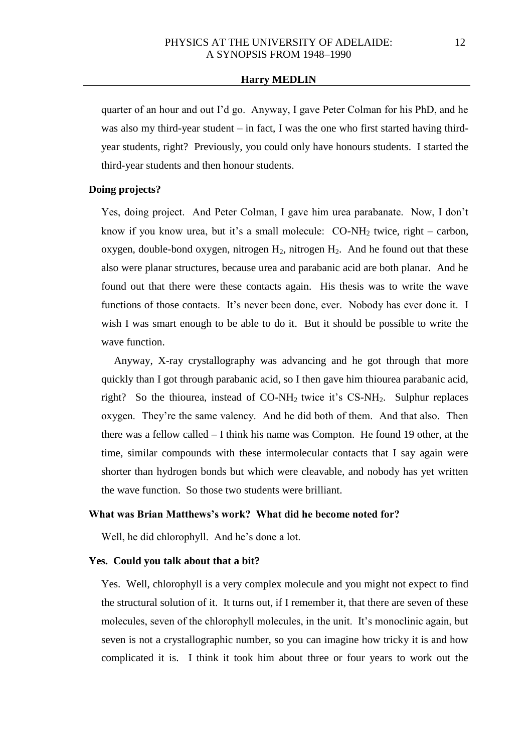quarter of an hour and out I'd go. Anyway, I gave Peter Colman for his PhD, and he was also my third-year student  $-$  in fact, I was the one who first started having thirdyear students, right? Previously, you could only have honours students. I started the third-year students and then honour students.

## **Doing projects?**

Yes, doing project. And Peter Colman, I gave him urea parabanate. Now, I don't know if you know urea, but it's a small molecule:  $CO-NH<sub>2</sub>$  twice, right – carbon, oxygen, double-bond oxygen, nitrogen  $H_2$ , nitrogen  $H_2$ . And he found out that these also were planar structures, because urea and parabanic acid are both planar. And he found out that there were these contacts again. His thesis was to write the wave functions of those contacts. It's never been done, ever. Nobody has ever done it. I wish I was smart enough to be able to do it. But it should be possible to write the wave function.

Anyway, X-ray crystallography was advancing and he got through that more quickly than I got through parabanic acid, so I then gave him thiourea parabanic acid, right? So the thiourea, instead of CO-NH2 twice it's CS-NH2. Sulphur replaces oxygen. They're the same valency. And he did both of them. And that also. Then there was a fellow called – I think his name was Compton. He found 19 other, at the time, similar compounds with these intermolecular contacts that I say again were shorter than hydrogen bonds but which were cleavable, and nobody has yet written the wave function. So those two students were brilliant.

# **What was Brian Matthews's work? What did he become noted for?**

Well, he did chlorophyll. And he's done a lot.

### **Yes. Could you talk about that a bit?**

Yes. Well, chlorophyll is a very complex molecule and you might not expect to find the structural solution of it. It turns out, if I remember it, that there are seven of these molecules, seven of the chlorophyll molecules, in the unit. It's monoclinic again, but seven is not a crystallographic number, so you can imagine how tricky it is and how complicated it is. I think it took him about three or four years to work out the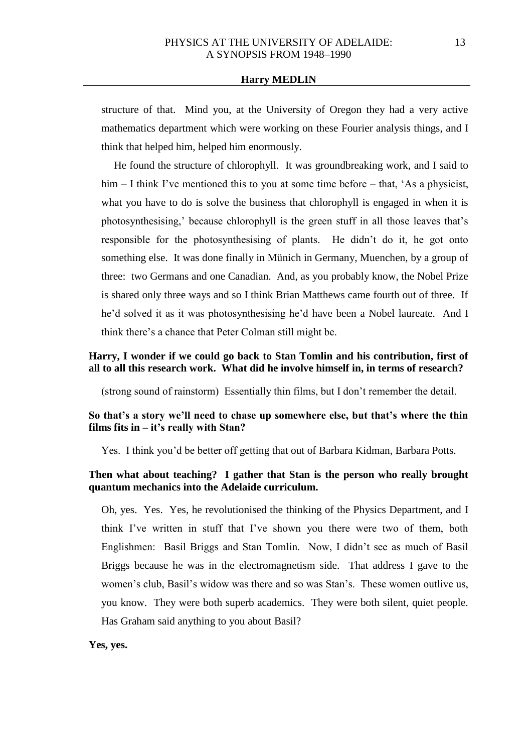structure of that. Mind you, at the University of Oregon they had a very active mathematics department which were working on these Fourier analysis things, and I think that helped him, helped him enormously.

He found the structure of chlorophyll. It was groundbreaking work, and I said to him – I think I've mentioned this to you at some time before – that, 'As a physicist, what you have to do is solve the business that chlorophyll is engaged in when it is photosynthesising,' because chlorophyll is the green stuff in all those leaves that's responsible for the photosynthesising of plants. He didn't do it, he got onto something else. It was done finally in Münich in Germany, Muenchen, by a group of three: two Germans and one Canadian. And, as you probably know, the Nobel Prize is shared only three ways and so I think Brian Matthews came fourth out of three. If he'd solved it as it was photosynthesising he'd have been a Nobel laureate. And I think there's a chance that Peter Colman still might be.

# **Harry, I wonder if we could go back to Stan Tomlin and his contribution, first of all to all this research work. What did he involve himself in, in terms of research?**

(strong sound of rainstorm) Essentially thin films, but I don't remember the detail.

# **So that's a story we'll need to chase up somewhere else, but that's where the thin films fits in – it's really with Stan?**

Yes. I think you'd be better off getting that out of Barbara Kidman, Barbara Potts.

# **Then what about teaching? I gather that Stan is the person who really brought quantum mechanics into the Adelaide curriculum.**

Oh, yes. Yes. Yes, he revolutionised the thinking of the Physics Department, and I think I've written in stuff that I've shown you there were two of them, both Englishmen: Basil Briggs and Stan Tomlin. Now, I didn't see as much of Basil Briggs because he was in the electromagnetism side. That address I gave to the women's club, Basil's widow was there and so was Stan's. These women outlive us, you know. They were both superb academics. They were both silent, quiet people. Has Graham said anything to you about Basil?

**Yes, yes.**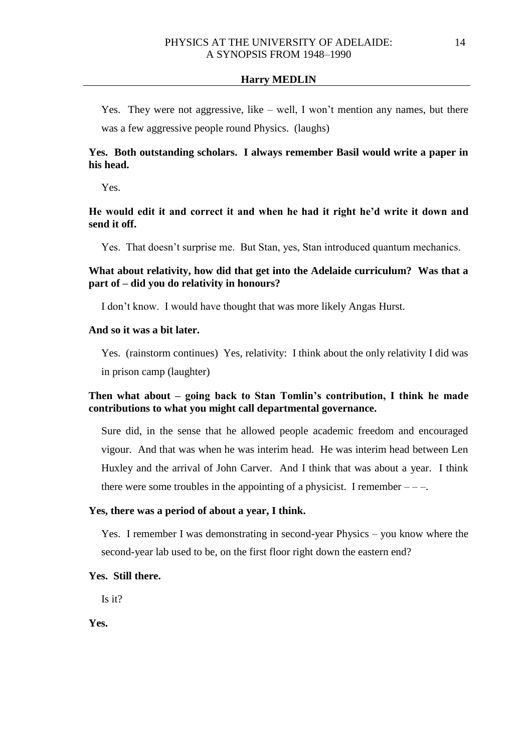Yes. They were not aggressive, like – well, I won't mention any names, but there was a few aggressive people round Physics. (laughs)

# **Yes. Both outstanding scholars. I always remember Basil would write a paper in his head.**

Yes.

# **He would edit it and correct it and when he had it right he'd write it down and send it off.**

Yes. That doesn't surprise me. But Stan, yes, Stan introduced quantum mechanics.

# **What about relativity, how did that get into the Adelaide curriculum? Was that a part of – did you do relativity in honours?**

I don't know. I would have thought that was more likely Angas Hurst.

# **And so it was a bit later.**

Yes. (rainstorm continues) Yes, relativity: I think about the only relativity I did was in prison camp (laughter)

# **Then what about – going back to Stan Tomlin's contribution, I think he made contributions to what you might call departmental governance.**

Sure did, in the sense that he allowed people academic freedom and encouraged vigour. And that was when he was interim head. He was interim head between Len Huxley and the arrival of John Carver. And I think that was about a year. I think there were some troubles in the appointing of a physicist. I remember  $---$ .

## **Yes, there was a period of about a year, I think.**

Yes. I remember I was demonstrating in second-year Physics – you know where the second-year lab used to be, on the first floor right down the eastern end?

## **Yes. Still there.**

Is it?

**Yes.**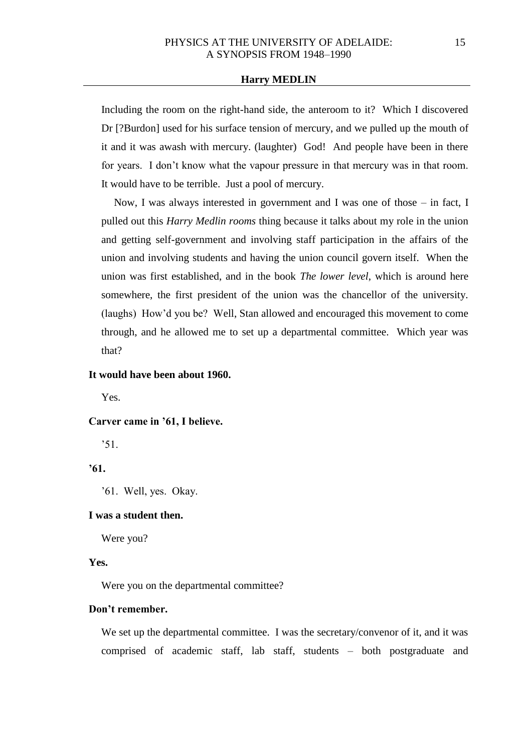Including the room on the right-hand side, the anteroom to it? Which I discovered Dr [?Burdon] used for his surface tension of mercury, and we pulled up the mouth of it and it was awash with mercury. (laughter) God! And people have been in there for years. I don't know what the vapour pressure in that mercury was in that room. It would have to be terrible. Just a pool of mercury.

Now, I was always interested in government and I was one of those – in fact, I pulled out this *Harry Medlin rooms* thing because it talks about my role in the union and getting self-government and involving staff participation in the affairs of the union and involving students and having the union council govern itself. When the union was first established, and in the book *The lower level*, which is around here somewhere, the first president of the union was the chancellor of the university. (laughs) How'd you be? Well, Stan allowed and encouraged this movement to come through, and he allowed me to set up a departmental committee. Which year was that?

### **It would have been about 1960.**

Yes.

#### **Carver came in '61, I believe.**

'51.

# **'61.**

'61. Well, yes. Okay.

# **I was a student then.**

Were you?

## **Yes.**

Were you on the departmental committee?

## **Don't remember.**

We set up the departmental committee. I was the secretary/convenor of it, and it was comprised of academic staff, lab staff, students – both postgraduate and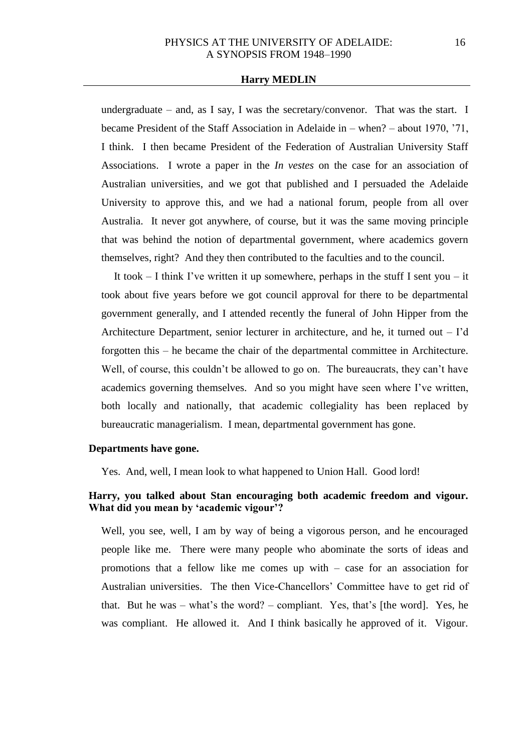undergraduate – and, as I say, I was the secretary/convenor. That was the start. I became President of the Staff Association in Adelaide in – when? – about 1970, '71, I think. I then became President of the Federation of Australian University Staff Associations. I wrote a paper in the *In vestes* on the case for an association of Australian universities, and we got that published and I persuaded the Adelaide University to approve this, and we had a national forum, people from all over Australia. It never got anywhere, of course, but it was the same moving principle that was behind the notion of departmental government, where academics govern themselves, right? And they then contributed to the faculties and to the council.

It took  $-$  I think I've written it up somewhere, perhaps in the stuff I sent you  $-$  it took about five years before we got council approval for there to be departmental government generally, and I attended recently the funeral of John Hipper from the Architecture Department, senior lecturer in architecture, and he, it turned out – I'd forgotten this – he became the chair of the departmental committee in Architecture. Well, of course, this couldn't be allowed to go on. The bureaucrats, they can't have academics governing themselves. And so you might have seen where I've written, both locally and nationally, that academic collegiality has been replaced by bureaucratic managerialism. I mean, departmental government has gone.

#### **Departments have gone.**

Yes. And, well, I mean look to what happened to Union Hall. Good lord!

# **Harry, you talked about Stan encouraging both academic freedom and vigour. What did you mean by 'academic vigour'?**

Well, you see, well, I am by way of being a vigorous person, and he encouraged people like me. There were many people who abominate the sorts of ideas and promotions that a fellow like me comes up with – case for an association for Australian universities. The then Vice-Chancellors' Committee have to get rid of that. But he was – what's the word? – compliant. Yes, that's [the word]. Yes, he was compliant. He allowed it. And I think basically he approved of it. Vigour.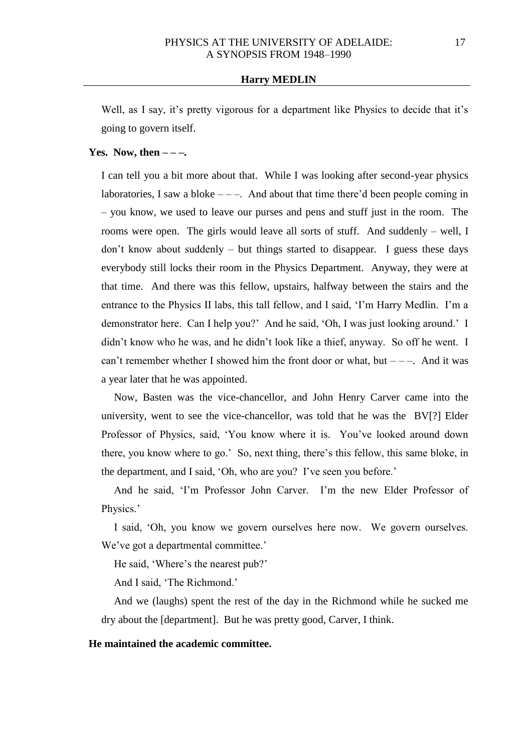Well, as I say, it's pretty vigorous for a department like Physics to decide that it's going to govern itself.

## **Yes.** Now, then  $---$ .

I can tell you a bit more about that. While I was looking after second-year physics laboratories, I saw a bloke  $---$ . And about that time there'd been people coming in – you know, we used to leave our purses and pens and stuff just in the room. The rooms were open. The girls would leave all sorts of stuff. And suddenly – well, I don't know about suddenly – but things started to disappear. I guess these days everybody still locks their room in the Physics Department. Anyway, they were at that time. And there was this fellow, upstairs, halfway between the stairs and the entrance to the Physics II labs, this tall fellow, and I said, 'I'm Harry Medlin. I'm a demonstrator here. Can I help you?' And he said, 'Oh, I was just looking around.' I didn't know who he was, and he didn't look like a thief, anyway. So off he went. I can't remember whether I showed him the front door or what, but  $---$ . And it was a year later that he was appointed.

Now, Basten was the vice-chancellor, and John Henry Carver came into the university, went to see the vice-chancellor, was told that he was the BV[?] Elder Professor of Physics, said, 'You know where it is. You've looked around down there, you know where to go.' So, next thing, there's this fellow, this same bloke, in the department, and I said, 'Oh, who are you? I've seen you before.'

And he said, 'I'm Professor John Carver. I'm the new Elder Professor of Physics.'

I said, 'Oh, you know we govern ourselves here now. We govern ourselves. We've got a departmental committee.'

He said, 'Where's the nearest pub?'

And I said, 'The Richmond.'

And we (laughs) spent the rest of the day in the Richmond while he sucked me dry about the [department]. But he was pretty good, Carver, I think.

## **He maintained the academic committee.**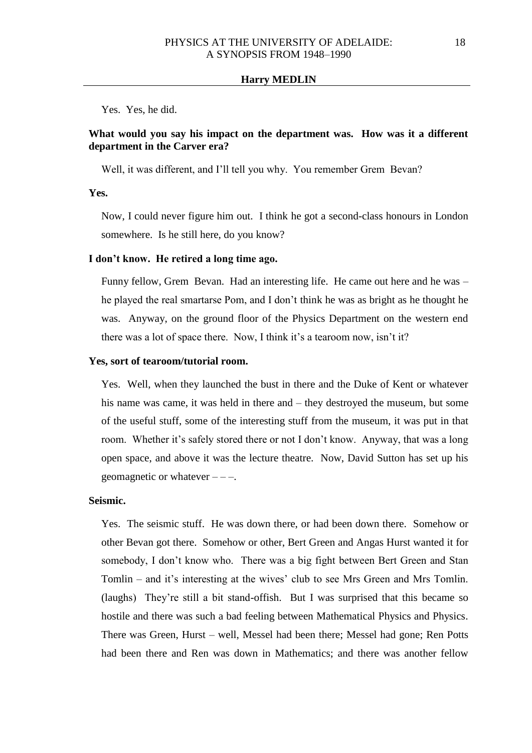Yes. Yes, he did.

## **What would you say his impact on the department was. How was it a different department in the Carver era?**

Well, it was different, and I'll tell you why. You remember Grem Bevan?

**Yes.** 

Now, I could never figure him out. I think he got a second-class honours in London somewhere. Is he still here, do you know?

## **I don't know. He retired a long time ago.**

Funny fellow, Grem Bevan. Had an interesting life. He came out here and he was – he played the real smartarse Pom, and I don't think he was as bright as he thought he was. Anyway, on the ground floor of the Physics Department on the western end there was a lot of space there. Now, I think it's a tearoom now, isn't it?

#### **Yes, sort of tearoom/tutorial room.**

Yes. Well, when they launched the bust in there and the Duke of Kent or whatever his name was came, it was held in there and – they destroyed the museum, but some of the useful stuff, some of the interesting stuff from the museum, it was put in that room. Whether it's safely stored there or not I don't know. Anyway, that was a long open space, and above it was the lecture theatre. Now, David Sutton has set up his geomagnetic or whatever  $---$ .

### **Seismic.**

Yes. The seismic stuff. He was down there, or had been down there. Somehow or other Bevan got there. Somehow or other, Bert Green and Angas Hurst wanted it for somebody, I don't know who. There was a big fight between Bert Green and Stan Tomlin – and it's interesting at the wives' club to see Mrs Green and Mrs Tomlin. (laughs) They're still a bit stand-offish. But I was surprised that this became so hostile and there was such a bad feeling between Mathematical Physics and Physics. There was Green, Hurst – well, Messel had been there; Messel had gone; Ren Potts had been there and Ren was down in Mathematics; and there was another fellow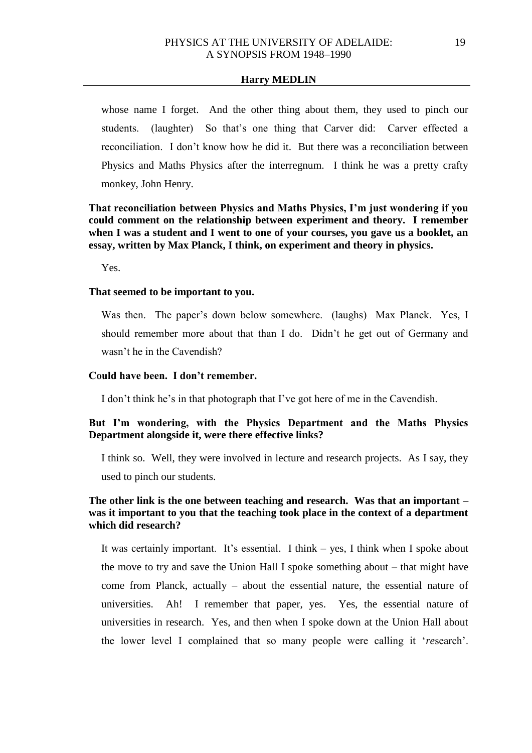whose name I forget. And the other thing about them, they used to pinch our students. (laughter) So that's one thing that Carver did: Carver effected a reconciliation. I don't know how he did it. But there was a reconciliation between Physics and Maths Physics after the interregnum. I think he was a pretty crafty monkey, John Henry.

**That reconciliation between Physics and Maths Physics, I'm just wondering if you could comment on the relationship between experiment and theory. I remember when I was a student and I went to one of your courses, you gave us a booklet, an essay, written by Max Planck, I think, on experiment and theory in physics.** 

Yes.

## **That seemed to be important to you.**

Was then. The paper's down below somewhere. (laughs) Max Planck. Yes, I should remember more about that than I do. Didn't he get out of Germany and wasn't he in the Cavendish?

# **Could have been. I don't remember.**

I don't think he's in that photograph that I've got here of me in the Cavendish.

# **But I'm wondering, with the Physics Department and the Maths Physics Department alongside it, were there effective links?**

I think so. Well, they were involved in lecture and research projects. As I say, they used to pinch our students.

# **The other link is the one between teaching and research. Was that an important – was it important to you that the teaching took place in the context of a department which did research?**

It was certainly important. It's essential. I think – yes, I think when I spoke about the move to try and save the Union Hall I spoke something about – that might have come from Planck, actually – about the essential nature, the essential nature of universities. Ah! I remember that paper, yes. Yes, the essential nature of universities in research. Yes, and then when I spoke down at the Union Hall about the lower level I complained that so many people were calling it '*re*search'.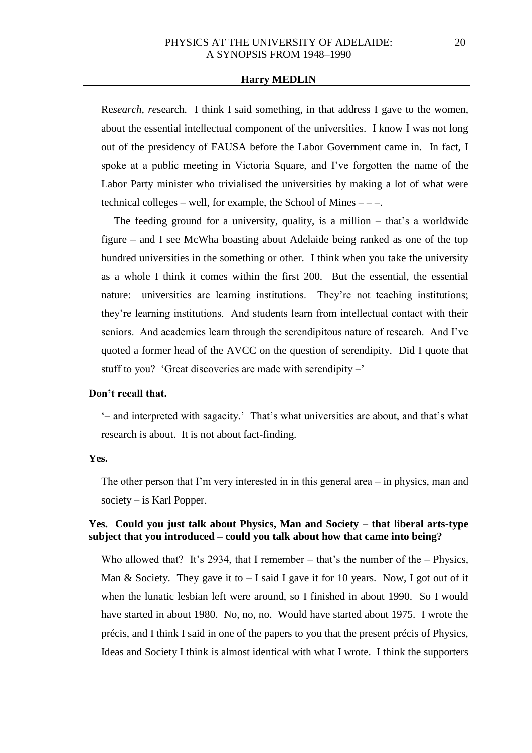Re*search*, *re*search. I think I said something, in that address I gave to the women, about the essential intellectual component of the universities. I know I was not long out of the presidency of FAUSA before the Labor Government came in. In fact, I spoke at a public meeting in Victoria Square, and I've forgotten the name of the Labor Party minister who trivialised the universities by making a lot of what were technical colleges – well, for example, the School of Mines  $---$ .

The feeding ground for a university, quality, is a million – that's a worldwide figure – and I see McWha boasting about Adelaide being ranked as one of the top hundred universities in the something or other. I think when you take the university as a whole I think it comes within the first 200. But the essential, the essential nature: universities are learning institutions. They're not teaching institutions; they're learning institutions. And students learn from intellectual contact with their seniors. And academics learn through the serendipitous nature of research. And I've quoted a former head of the AVCC on the question of serendipity. Did I quote that stuff to you? 'Great discoveries are made with serendipity –'

### **Don't recall that.**

'– and interpreted with sagacity.' That's what universities are about, and that's what research is about. It is not about fact-finding.

### **Yes.**

The other person that I'm very interested in in this general area – in physics, man and society – is Karl Popper.

# **Yes. Could you just talk about Physics, Man and Society – that liberal arts-type subject that you introduced – could you talk about how that came into being?**

Who allowed that? It's 2934, that I remember – that's the number of the – Physics, Man & Society. They gave it to  $-$  I said I gave it for 10 years. Now, I got out of it when the lunatic lesbian left were around, so I finished in about 1990. So I would have started in about 1980. No, no, no. Would have started about 1975. I wrote the précis, and I think I said in one of the papers to you that the present précis of Physics, Ideas and Society I think is almost identical with what I wrote. I think the supporters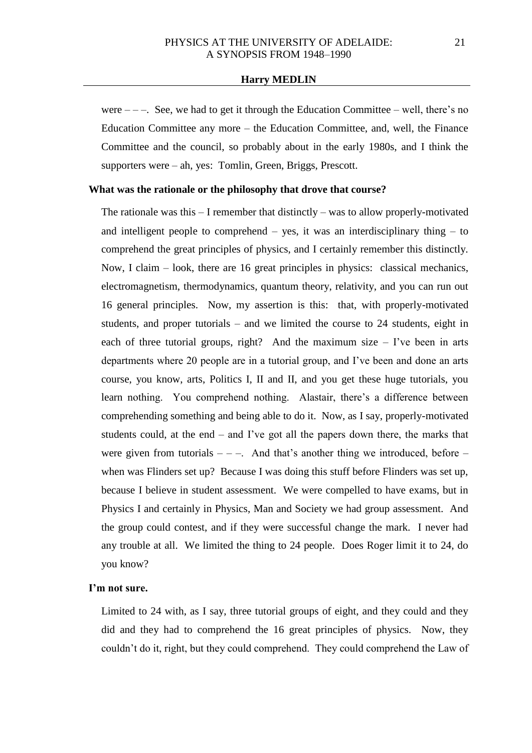were  $---$ . See, we had to get it through the Education Committee – well, there's no Education Committee any more – the Education Committee, and, well, the Finance Committee and the council, so probably about in the early 1980s, and I think the supporters were – ah, yes: Tomlin, Green, Briggs, Prescott.

#### **What was the rationale or the philosophy that drove that course?**

The rationale was this – I remember that distinctly – was to allow properly-motivated and intelligent people to comprehend  $-$  yes, it was an interdisciplinary thing  $-$  to comprehend the great principles of physics, and I certainly remember this distinctly. Now, I claim – look, there are 16 great principles in physics: classical mechanics, electromagnetism, thermodynamics, quantum theory, relativity, and you can run out 16 general principles. Now, my assertion is this: that, with properly-motivated students, and proper tutorials – and we limited the course to 24 students, eight in each of three tutorial groups, right? And the maximum size  $-$  I've been in arts departments where 20 people are in a tutorial group, and I've been and done an arts course, you know, arts, Politics I, II and II, and you get these huge tutorials, you learn nothing. You comprehend nothing. Alastair, there's a difference between comprehending something and being able to do it. Now, as I say, properly-motivated students could, at the end – and I've got all the papers down there, the marks that were given from tutorials  $---$ . And that's another thing we introduced, before  $--$ when was Flinders set up? Because I was doing this stuff before Flinders was set up, because I believe in student assessment. We were compelled to have exams, but in Physics I and certainly in Physics, Man and Society we had group assessment. And the group could contest, and if they were successful change the mark. I never had any trouble at all. We limited the thing to 24 people. Does Roger limit it to 24, do you know?

### **I'm not sure.**

Limited to 24 with, as I say, three tutorial groups of eight, and they could and they did and they had to comprehend the 16 great principles of physics. Now, they couldn't do it, right, but they could comprehend. They could comprehend the Law of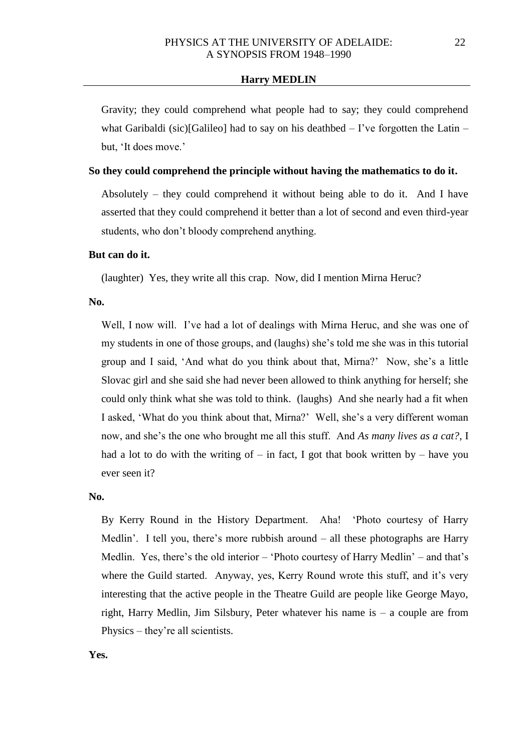Gravity; they could comprehend what people had to say; they could comprehend what Garibaldi (sic)[Galileo] had to say on his deathbed  $-$  I've forgotten the Latin  $$ but, 'It does move.'

## **So they could comprehend the principle without having the mathematics to do it.**

Absolutely – they could comprehend it without being able to do it. And I have asserted that they could comprehend it better than a lot of second and even third-year students, who don't bloody comprehend anything.

## **But can do it.**

(laughter) Yes, they write all this crap. Now, did I mention Mirna Heruc?

## **No.**

Well, I now will. I've had a lot of dealings with Mirna Heruc, and she was one of my students in one of those groups, and (laughs) she's told me she was in this tutorial group and I said, 'And what do you think about that, Mirna?' Now, she's a little Slovac girl and she said she had never been allowed to think anything for herself; she could only think what she was told to think. (laughs) And she nearly had a fit when I asked, 'What do you think about that, Mirna?' Well, she's a very different woman now, and she's the one who brought me all this stuff. And *As many lives as a cat?*, I had a lot to do with the writing of – in fact, I got that book written by – have you ever seen it?

#### **No.**

By Kerry Round in the History Department. Aha! 'Photo courtesy of Harry Medlin'. I tell you, there's more rubbish around – all these photographs are Harry Medlin. Yes, there's the old interior – 'Photo courtesy of Harry Medlin' – and that's where the Guild started. Anyway, yes, Kerry Round wrote this stuff, and it's very interesting that the active people in the Theatre Guild are people like George Mayo, right, Harry Medlin, Jim Silsbury, Peter whatever his name is – a couple are from Physics – they're all scientists.

**Yes.**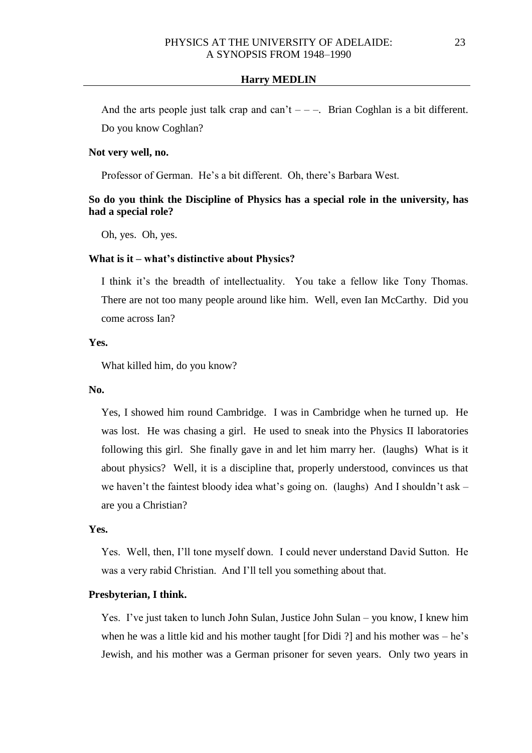And the arts people just talk crap and can't  $---$ . Brian Coghlan is a bit different. Do you know Coghlan?

## **Not very well, no.**

Professor of German. He's a bit different. Oh, there's Barbara West.

# **So do you think the Discipline of Physics has a special role in the university, has had a special role?**

Oh, yes. Oh, yes.

## **What is it – what's distinctive about Physics?**

I think it's the breadth of intellectuality. You take a fellow like Tony Thomas. There are not too many people around like him. Well, even Ian McCarthy. Did you come across Ian?

### **Yes.**

What killed him, do you know?

### **No.**

Yes, I showed him round Cambridge. I was in Cambridge when he turned up. He was lost. He was chasing a girl. He used to sneak into the Physics II laboratories following this girl. She finally gave in and let him marry her. (laughs) What is it about physics? Well, it is a discipline that, properly understood, convinces us that we haven't the faintest bloody idea what's going on. (laughs) And I shouldn't ask – are you a Christian?

## **Yes.**

Yes. Well, then, I'll tone myself down. I could never understand David Sutton. He was a very rabid Christian. And I'll tell you something about that.

## **Presbyterian, I think.**

Yes. I've just taken to lunch John Sulan, Justice John Sulan – you know, I knew him when he was a little kid and his mother taught [for Didi ?] and his mother was – he's Jewish, and his mother was a German prisoner for seven years. Only two years in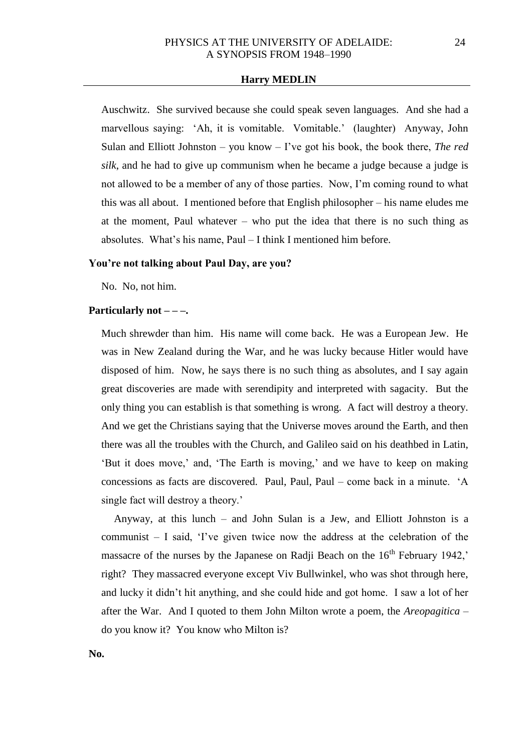Auschwitz. She survived because she could speak seven languages. And she had a marvellous saying: 'Ah, it is vomitable. Vomitable.' (laughter) Anyway, John Sulan and Elliott Johnston – you know – I've got his book, the book there, *The red silk*, and he had to give up communism when he became a judge because a judge is not allowed to be a member of any of those parties. Now, I'm coming round to what this was all about. I mentioned before that English philosopher – his name eludes me at the moment, Paul whatever – who put the idea that there is no such thing as absolutes. What's his name, Paul – I think I mentioned him before.

#### **You're not talking about Paul Day, are you?**

No. No, not him.

#### **Particularly not – – –.**

Much shrewder than him. His name will come back. He was a European Jew. He was in New Zealand during the War, and he was lucky because Hitler would have disposed of him. Now, he says there is no such thing as absolutes, and I say again great discoveries are made with serendipity and interpreted with sagacity. But the only thing you can establish is that something is wrong. A fact will destroy a theory. And we get the Christians saying that the Universe moves around the Earth, and then there was all the troubles with the Church, and Galileo said on his deathbed in Latin, 'But it does move,' and, 'The Earth is moving,' and we have to keep on making concessions as facts are discovered. Paul, Paul, Paul – come back in a minute. 'A single fact will destroy a theory.'

Anyway, at this lunch – and John Sulan is a Jew, and Elliott Johnston is a communist – I said, 'I've given twice now the address at the celebration of the massacre of the nurses by the Japanese on Radii Beach on the  $16<sup>th</sup>$  February 1942,' right? They massacred everyone except Viv Bullwinkel, who was shot through here, and lucky it didn't hit anything, and she could hide and got home. I saw a lot of her after the War. And I quoted to them John Milton wrote a poem, the *Areopagitica* – do you know it? You know who Milton is?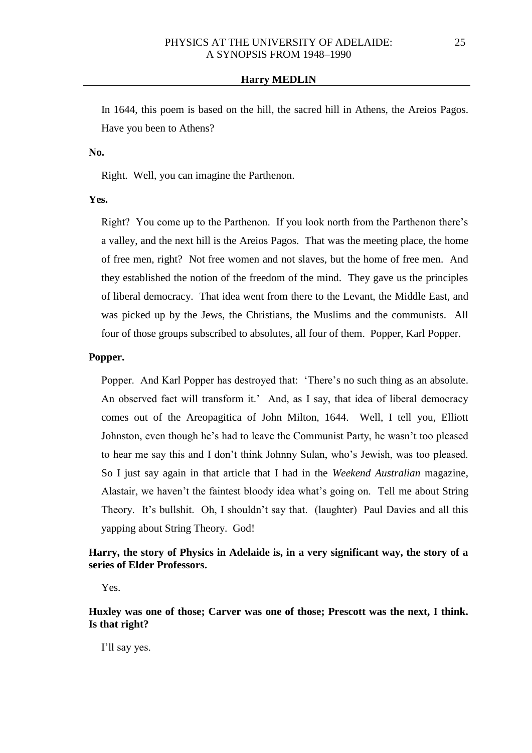In 1644, this poem is based on the hill, the sacred hill in Athens, the Areios Pagos. Have you been to Athens?

**No.** 

Right. Well, you can imagine the Parthenon.

**Yes.**

Right? You come up to the Parthenon. If you look north from the Parthenon there's a valley, and the next hill is the Areios Pagos. That was the meeting place, the home of free men, right? Not free women and not slaves, but the home of free men. And they established the notion of the freedom of the mind. They gave us the principles of liberal democracy. That idea went from there to the Levant, the Middle East, and was picked up by the Jews, the Christians, the Muslims and the communists. All four of those groups subscribed to absolutes, all four of them. Popper, Karl Popper.

## **Popper.**

Popper. And Karl Popper has destroyed that: 'There's no such thing as an absolute. An observed fact will transform it.' And, as I say, that idea of liberal democracy comes out of the Areopagitica of John Milton, 1644. Well, I tell you, Elliott Johnston, even though he's had to leave the Communist Party, he wasn't too pleased to hear me say this and I don't think Johnny Sulan, who's Jewish, was too pleased. So I just say again in that article that I had in the *Weekend Australian* magazine, Alastair, we haven't the faintest bloody idea what's going on. Tell me about String Theory. It's bullshit. Oh, I shouldn't say that. (laughter) Paul Davies and all this yapping about String Theory. God!

# **Harry, the story of Physics in Adelaide is, in a very significant way, the story of a series of Elder Professors.**

Yes.

**Huxley was one of those; Carver was one of those; Prescott was the next, I think. Is that right?**

I'll say yes.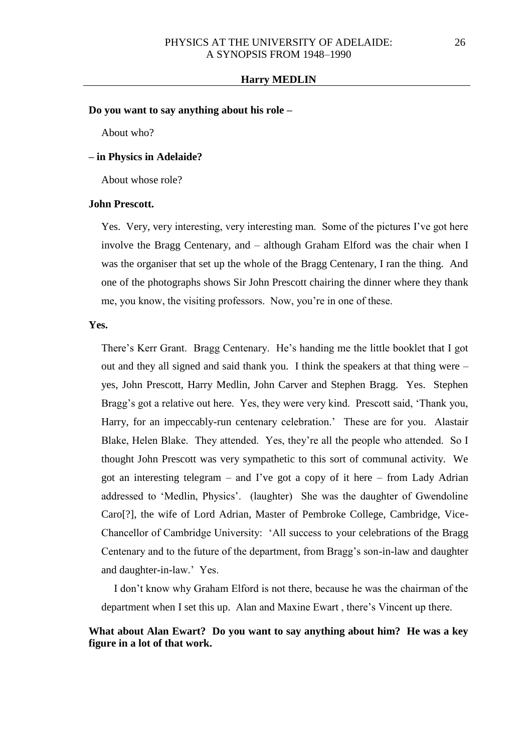### **Do you want to say anything about his role –**

About who?

## **– in Physics in Adelaide?**

About whose role?

#### **John Prescott.**

Yes. Very, very interesting, very interesting man. Some of the pictures I've got here involve the Bragg Centenary, and – although Graham Elford was the chair when I was the organiser that set up the whole of the Bragg Centenary, I ran the thing. And one of the photographs shows Sir John Prescott chairing the dinner where they thank me, you know, the visiting professors. Now, you're in one of these.

#### **Yes.**

There's Kerr Grant. Bragg Centenary. He's handing me the little booklet that I got out and they all signed and said thank you. I think the speakers at that thing were – yes, John Prescott, Harry Medlin, John Carver and Stephen Bragg. Yes. Stephen Bragg's got a relative out here. Yes, they were very kind. Prescott said, 'Thank you, Harry, for an impeccably-run centenary celebration.' These are for you. Alastair Blake, Helen Blake. They attended. Yes, they're all the people who attended. So I thought John Prescott was very sympathetic to this sort of communal activity. We got an interesting telegram – and I've got a copy of it here – from Lady Adrian addressed to 'Medlin, Physics'. (laughter) She was the daughter of Gwendoline Caro[?], the wife of Lord Adrian, Master of Pembroke College, Cambridge, Vice-Chancellor of Cambridge University: 'All success to your celebrations of the Bragg Centenary and to the future of the department, from Bragg's son-in-law and daughter and daughter-in-law.' Yes.

I don't know why Graham Elford is not there, because he was the chairman of the department when I set this up. Alan and Maxine Ewart , there's Vincent up there.

# **What about Alan Ewart? Do you want to say anything about him? He was a key figure in a lot of that work.**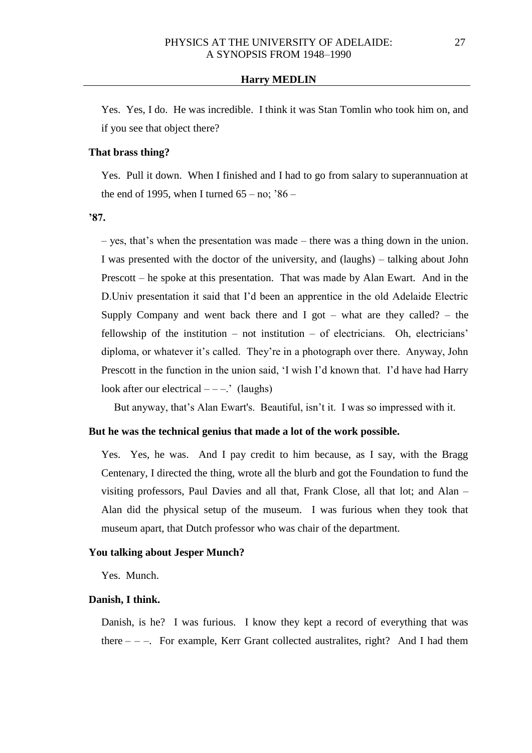Yes. Yes, I do. He was incredible. I think it was Stan Tomlin who took him on, and if you see that object there?

## **That brass thing?**

Yes. Pull it down. When I finished and I had to go from salary to superannuation at the end of 1995, when I turned  $65 - no$ ;  $86 -$ 

**'87.**

– yes, that's when the presentation was made – there was a thing down in the union. I was presented with the doctor of the university, and (laughs) – talking about John Prescott – he spoke at this presentation. That was made by Alan Ewart. And in the D.Univ presentation it said that I'd been an apprentice in the old Adelaide Electric Supply Company and went back there and I got – what are they called? – the fellowship of the institution – not institution – of electricians. Oh, electricians' diploma, or whatever it's called. They're in a photograph over there. Anyway, John Prescott in the function in the union said, 'I wish I'd known that. I'd have had Harry look after our electrical  $---$ .' (laughs)

But anyway, that's Alan Ewart's. Beautiful, isn't it. I was so impressed with it.

### **But he was the technical genius that made a lot of the work possible.**

Yes. Yes, he was. And I pay credit to him because, as I say, with the Bragg Centenary, I directed the thing, wrote all the blurb and got the Foundation to fund the visiting professors, Paul Davies and all that, Frank Close, all that lot; and Alan – Alan did the physical setup of the museum. I was furious when they took that museum apart, that Dutch professor who was chair of the department.

## **You talking about Jesper Munch?**

Yes. Munch.

#### **Danish, I think.**

Danish, is he? I was furious. I know they kept a record of everything that was there  $-$  –. For example, Kerr Grant collected australites, right? And I had them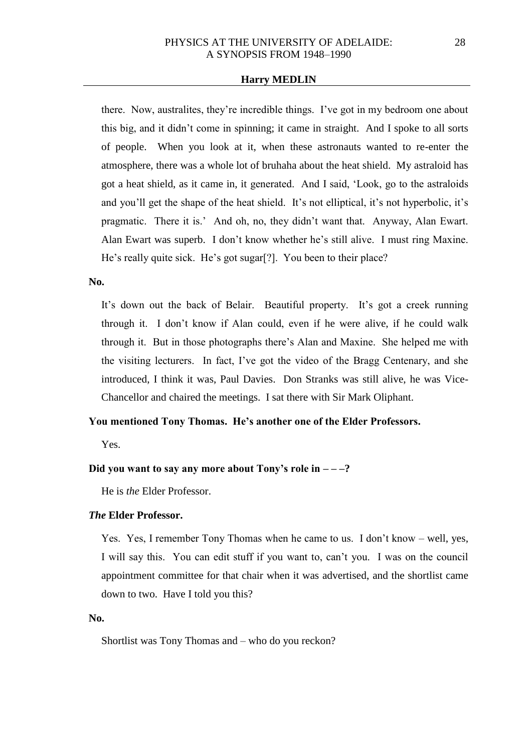there. Now, australites, they're incredible things. I've got in my bedroom one about this big, and it didn't come in spinning; it came in straight. And I spoke to all sorts of people. When you look at it, when these astronauts wanted to re-enter the atmosphere, there was a whole lot of bruhaha about the heat shield. My astraloid has got a heat shield, as it came in, it generated. And I said, 'Look, go to the astraloids and you'll get the shape of the heat shield. It's not elliptical, it's not hyperbolic, it's pragmatic. There it is.' And oh, no, they didn't want that. Anyway, Alan Ewart. Alan Ewart was superb. I don't know whether he's still alive. I must ring Maxine. He's really quite sick. He's got sugar[?]. You been to their place?

**No.**

It's down out the back of Belair. Beautiful property. It's got a creek running through it. I don't know if Alan could, even if he were alive, if he could walk through it. But in those photographs there's Alan and Maxine. She helped me with the visiting lecturers. In fact, I've got the video of the Bragg Centenary, and she introduced, I think it was, Paul Davies. Don Stranks was still alive, he was Vice-Chancellor and chaired the meetings. I sat there with Sir Mark Oliphant.

## **You mentioned Tony Thomas. He's another one of the Elder Professors.**

Yes.

# Did you want to say any more about Tony's role in  $-\frac{2}{3}$

He is *the* Elder Professor.

# *The* **Elder Professor.**

Yes. Yes, I remember Tony Thomas when he came to us. I don't know – well, yes, I will say this. You can edit stuff if you want to, can't you. I was on the council appointment committee for that chair when it was advertised, and the shortlist came down to two. Have I told you this?

## **No.**

Shortlist was Tony Thomas and – who do you reckon?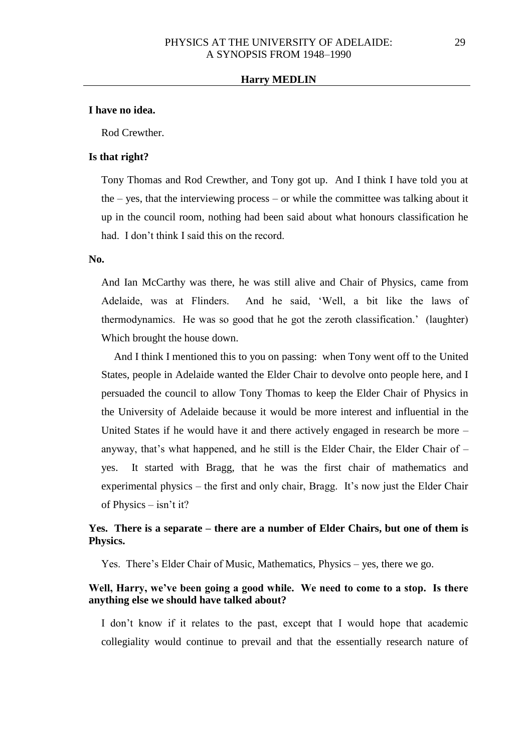#### **I have no idea.**

Rod Crewther.

#### **Is that right?**

Tony Thomas and Rod Crewther, and Tony got up. And I think I have told you at the – yes, that the interviewing process – or while the committee was talking about it up in the council room, nothing had been said about what honours classification he had. I don't think I said this on the record.

#### **No.**

And Ian McCarthy was there, he was still alive and Chair of Physics, came from Adelaide, was at Flinders. And he said, 'Well, a bit like the laws of thermodynamics. He was so good that he got the zeroth classification.' (laughter) Which brought the house down.

And I think I mentioned this to you on passing: when Tony went off to the United States, people in Adelaide wanted the Elder Chair to devolve onto people here, and I persuaded the council to allow Tony Thomas to keep the Elder Chair of Physics in the University of Adelaide because it would be more interest and influential in the United States if he would have it and there actively engaged in research be more – anyway, that's what happened, and he still is the Elder Chair, the Elder Chair of  $$ yes. It started with Bragg, that he was the first chair of mathematics and experimental physics – the first and only chair, Bragg. It's now just the Elder Chair of Physics – isn't it?

# **Yes. There is a separate – there are a number of Elder Chairs, but one of them is Physics.**

Yes. There's Elder Chair of Music, Mathematics, Physics – yes, there we go.

## **Well, Harry, we've been going a good while. We need to come to a stop. Is there anything else we should have talked about?**

I don't know if it relates to the past, except that I would hope that academic collegiality would continue to prevail and that the essentially research nature of